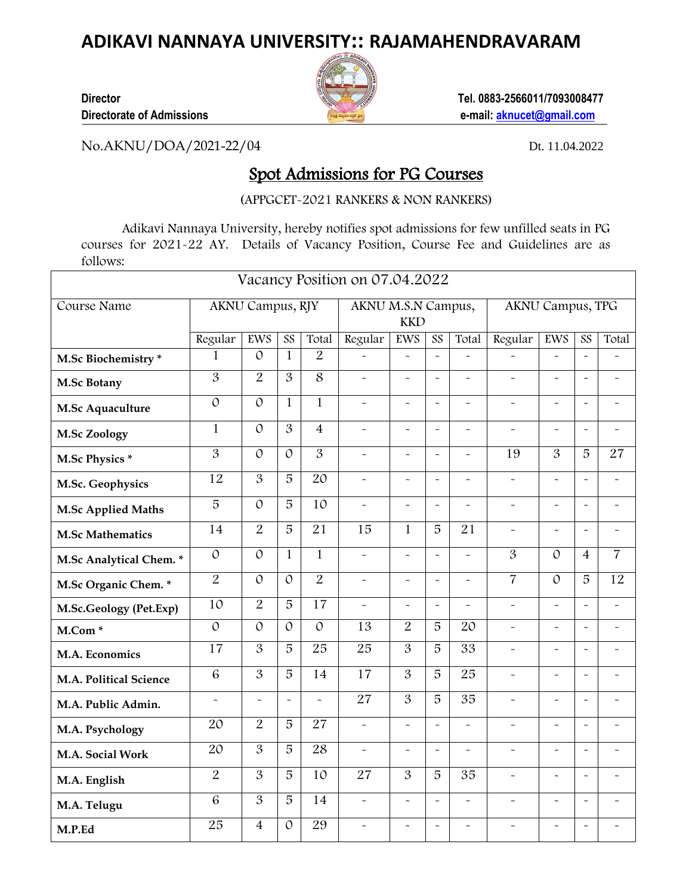## **ADIKAVI NANNAYA UNIVERSITY:: RAJAMAHENDRAVARAM**



**Director Director Tel. 0883-2566011/7093008477 Directorate of Admissions e-mail: [aknucet@gmail.com](mailto:aknucet@gmail.com)**

٦

No.AKNU/DOA/2021-22/04 Dt. 11.04.2022

## Spot Admissions for PG Courses

(APPGCET-2021 RANKERS & NON RANKERS)

Adikavi Nannaya University, hereby notifies spot admissions for few unfilled seats in PG courses for 2021-22 AY. Details of Vacancy Position, Course Fee and Guidelines are as follows:

| Vacancy Position on 07.04.2022 |                  |                |                |                                  |                       |                       |                       |                      |                       |                       |                       |                           |
|--------------------------------|------------------|----------------|----------------|----------------------------------|-----------------------|-----------------------|-----------------------|----------------------|-----------------------|-----------------------|-----------------------|---------------------------|
| Course Name                    | AKNU Campus, RJY |                |                | AKNU M.S.N Campus,<br><b>KKD</b> |                       |                       |                       | AKNU Campus, TPG     |                       |                       |                       |                           |
|                                | Regular          | EWS            | SS             | Total                            | Regular               | EWS                   | SS                    | Total                | Regular               | EWS                   | SS                    | Total                     |
| M.Sc Biochemistry *            | $\mathbf 1$      | $\mathcal{O}$  | $\mathbf{1}$   | $\overline{2}$                   |                       | $\tilde{\phantom{a}}$ | $\sim$                | $\ddot{ }$           | $\tilde{\phantom{a}}$ | $\ddot{ }$            | $\sim$                |                           |
| <b>M.Sc Botany</b>             | $\overline{3}$   | $\overline{2}$ | 3              | 8                                | $\overline{a}$        | $\tilde{\phantom{a}}$ | $\sim$                | $\sim$               | $\tilde{\phantom{a}}$ | $\tilde{\phantom{a}}$ | $\ddot{\phantom{0}}$  | $\tilde{}$                |
| M.Sc Aquaculture               | $\mathcal{O}$    | $\mathcal{O}$  | $\mathbf{1}$   | $\mathbf{1}$                     | $\tilde{\phantom{a}}$ | $\tilde{}$            | $\tilde{\phantom{a}}$ | $\ddot{\phantom{1}}$ | $\tilde{\phantom{a}}$ | $\tilde{}$            | $\tilde{}$            | $\widetilde{\phantom{m}}$ |
| <b>M.Sc Zoology</b>            | $\mathbf{1}$     | $\mathcal{O}$  | $\overline{3}$ | $\overline{4}$                   | $\tilde{\phantom{a}}$ | $\tilde{\phantom{a}}$ | $\sim$                | $\ddot{ }$           | $\tilde{\phantom{a}}$ | $\sim$                | $\sim$                | $\sim$                    |
| M.Sc Physics *                 | $\overline{3}$   | $\mathcal{O}$  | $\mathcal{O}$  | $\overline{3}$                   | $\ddot{ }$            | $\tilde{\phantom{a}}$ | $\tilde{\phantom{a}}$ | $\ddot{ }$           | 19                    | $\overline{3}$        | $\overline{5}$        | 27                        |
| M.Sc. Geophysics               | 12               | 3              | 5              | 20                               | $\ddot{ }$            | $\tilde{\phantom{a}}$ | $\tilde{\phantom{a}}$ | $\ddot{ }$           | $\tilde{\phantom{a}}$ | $\ddot{\phantom{0}}$  | $\sim$                | $\sim$                    |
| <b>M.Sc Applied Maths</b>      | $\overline{5}$   | $\mathcal{O}$  | 5              | 10                               | $\sim$                | $\sim$                | $\sim$                | $\ddot{ }$           | $\sim$                | $\ddot{\phantom{0}}$  | $\sim$                | $\sim$                    |
| <b>M.Sc Mathematics</b>        | 14               | $\overline{2}$ | $\overline{5}$ | $\overline{21}$                  | 15                    | $\mathbf{1}$          | 5                     | 21                   | $\sim$                | $\sim$                | $\tilde{\phantom{a}}$ | $\tilde{\phantom{a}}$     |
| M.Sc Analytical Chem. *        | $\mathcal{O}$    | $\mathcal{O}$  | $\mathbf{1}$   | $\mathbf{1}$                     | $\ddot{ }$            | $\sim$                | $\sim$                | $\ddot{ }$           | $\overline{3}$        | $\mathcal{O}$         | $\overline{4}$        | $\overline{7}$            |
| M.Sc Organic Chem.*            | $\overline{2}$   | $\mathcal{O}$  | $\mathcal{O}$  | $\overline{2}$                   | $\tilde{\phantom{a}}$ | $\sim$                | $\sim$                | $\ddot{ }$           | $\overline{7}$        | $\mathcal{O}$         | $\overline{5}$        | 12                        |
| M.Sc.Geology (Pet.Exp)         | 10               | $\overline{2}$ | 5              | 17                               | $\tilde{\phantom{a}}$ | $\tilde{\phantom{a}}$ | $\tilde{}$            | $\sim$               | $\tilde{\phantom{a}}$ | $\sim$                | $\sim$                | $\tilde{\phantom{a}}$     |
| M.Com <sup>*</sup>             | $\mathcal{O}$    | $\mathcal{O}$  | $\mathcal{O}$  | $\mathcal{O}$                    | $\overline{13}$       | $\overline{2}$        | 5                     | 20                   | $\tilde{\phantom{a}}$ | $\tilde{\phantom{a}}$ | $\sim$                | $\tilde{}$                |
| M.A. Economics                 | 17               | 3              | 5              | 25                               | 25                    | $\overline{3}$        | 5                     | $\overline{33}$      | $\tilde{\phantom{a}}$ | $\tilde{\phantom{a}}$ | $\sim$                | $\tilde{\phantom{a}}$     |
| M.A. Political Science         | 6                | 3              | 5              | 14                               | 17                    | 3                     | 5                     | 25                   | $\tilde{\phantom{a}}$ | $\tilde{\phantom{a}}$ | $\tilde{}$            | $\tilde{\phantom{a}}$     |
| M.A. Public Admin.             | $\sim$           | $\sim$         | $\sim$         | $\ddot{\phantom{0}}$             | $\overline{27}$       | $\overline{3}$        | $\overline{5}$        | $\overline{35}$      | $\sim$                | $\sim$                | $\ddot{\phantom{0}}$  | $\tilde{\phantom{a}}$     |
| M.A. Psychology                | 20               | $\overline{2}$ | $\overline{5}$ | 27                               | $\ddot{ }$            | $\sim$                | $\tilde{\phantom{a}}$ | $\ddot{ }$           | $\tilde{\phantom{a}}$ | $\ddot{\phantom{0}}$  | $\tilde{\phantom{a}}$ | $\sim$                    |
| M.A. Social Work               | 20               | $\overline{3}$ | $\overline{5}$ | 28                               | $\tilde{\phantom{a}}$ | $\tilde{\phantom{a}}$ | $\ddot{\phantom{0}}$  | $\ddot{ }$           | $\tilde{\phantom{a}}$ | $\sim$                | $\sim$                | $\tilde{\phantom{a}}$     |
| M.A. English                   | $\overline{2}$   | $\overline{3}$ | $\overline{5}$ | $\overline{10}$                  | $\overline{27}$       | $\overline{3}$        | $\overline{5}$        | $\overline{35}$      | $\sim$                | $\ddot{\phantom{0}}$  | $\sim$                | $\sim$                    |
| M.A. Telugu                    | 6                | 3              | 5              | 14                               | $\tilde{\phantom{a}}$ | $\tilde{\phantom{a}}$ | $\sim$                | $\sim$               | $\sim$                | $\sim$                | $\ddot{\phantom{0}}$  | $\ddot{ }$                |
| M.P.Ed                         | 25               | $\overline{4}$ | $\mathcal{O}$  | 29                               |                       |                       | $\sim$                | $\sim$               | $\sim$                | $\ddot{\phantom{0}}$  | $\sim$                | $\tilde{\phantom{a}}$     |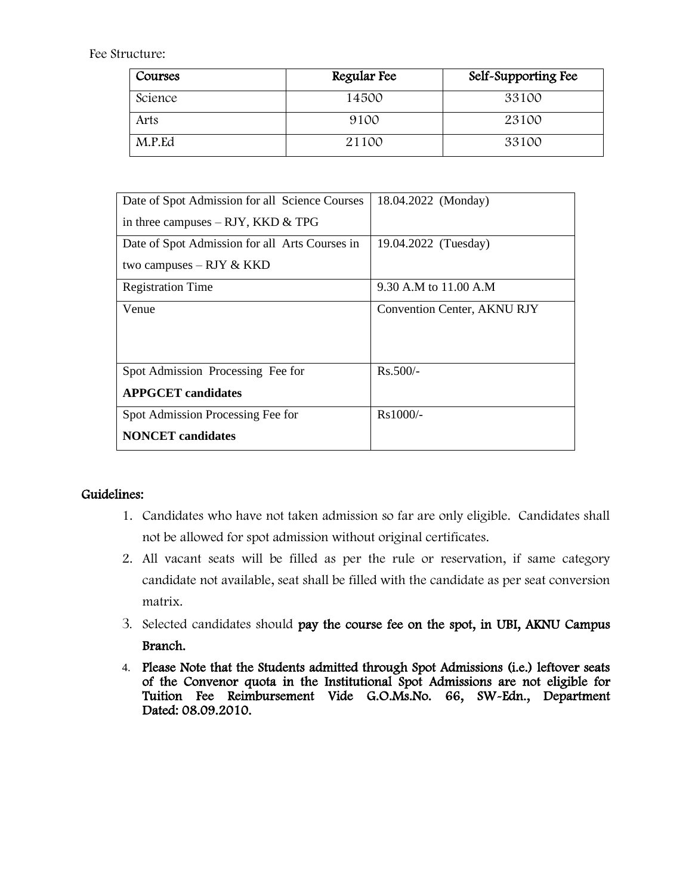Fee Structure:

| Courses | Regular Fee | Self-Supporting Fee |
|---------|-------------|---------------------|
| Science | 14500       | 33100               |
| Arts    | 9100        | 23100               |
| M.P.Ed  | 21100       | 33100               |

| Date of Spot Admission for all Science Courses | 18.04.2022 (Monday)         |  |  |  |  |
|------------------------------------------------|-----------------------------|--|--|--|--|
| in three campuses $- RJY$ , KKD & TPG          |                             |  |  |  |  |
| Date of Spot Admission for all Arts Courses in | 19.04.2022 (Tuesday)        |  |  |  |  |
| two campuses $- RJY & KKD$                     |                             |  |  |  |  |
| <b>Registration Time</b>                       | 9.30 A.M to 11.00 A.M       |  |  |  |  |
| Venue                                          | Convention Center, AKNU RJY |  |  |  |  |
|                                                |                             |  |  |  |  |
|                                                |                             |  |  |  |  |
| Spot Admission Processing Fee for              | $Rs.500/-$                  |  |  |  |  |
| <b>APPGCET</b> candidates                      |                             |  |  |  |  |
| Spot Admission Processing Fee for              | Rs1000/-                    |  |  |  |  |
| <b>NONCET</b> candidates                       |                             |  |  |  |  |

## Guidelines:

- 1. Candidates who have not taken admission so far are only eligible. Candidates shall not be allowed for spot admission without original certificates.
- 2. All vacant seats will be filled as per the rule or reservation, if same category candidate not available, seat shall be filled with the candidate as per seat conversion matrix.
- 3. Selected candidates should pay the course fee on the spot, in UBI, AKNU Campus Branch.
- 4. Please Note that the Students admitted through Spot Admissions (i.e.) leftover seats of the Convenor quota in the Institutional Spot Admissions are not eligible for Tuition Fee Reimbursement Vide G.O.Ms.No. 66, SW-Edn., Department Dated: 08.09.2010.